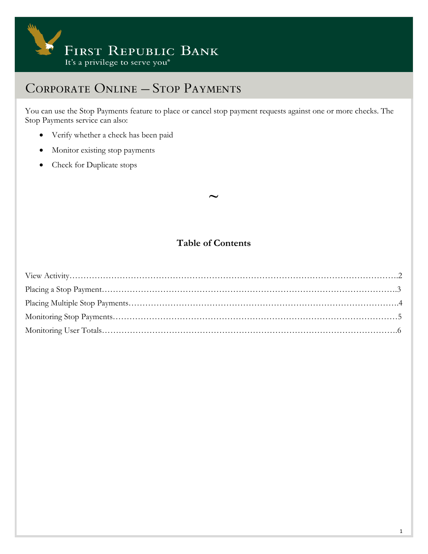

You can use the Stop Payments feature to place or cancel stop payment requests against one or more checks. The Stop Payments service can also:

- Verify whether a check has been paid
- Monitor existing stop payments
- Check for Duplicate stops

#### **Table of Contents**

**~**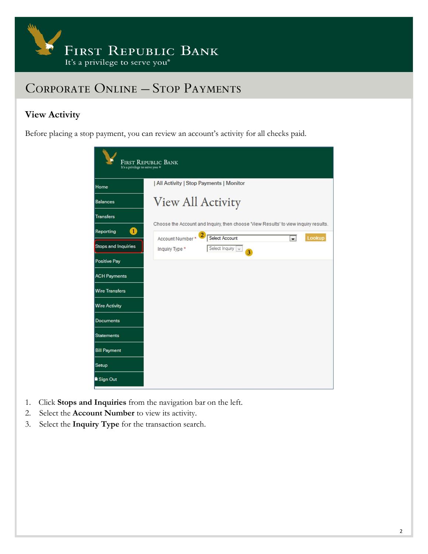

### **View Activity**

Before placing a stop payment, you can review an account's activity for all checks paid.

| It's a privilege to serve you ® | <b>FIRST REPUBLIC BANK</b>                                                          |
|---------------------------------|-------------------------------------------------------------------------------------|
| Home                            | All Activity   Stop Payments   Monitor                                              |
| <b>Balances</b>                 | View All Activity                                                                   |
| <b>Transfers</b>                | Choose the Account and Inquiry, then choose 'View Results' to view inquiry results. |
| 0<br>Reporting                  | $\mathbf{2}$<br>Select Account<br>Account Number*<br>Lookup<br>$\cdot$              |
| <b>Stops and Inquiries</b>      | Select Inquiry $\sqrt{\sqrt{2}}$<br>Inquiry Type *<br>3 <sup>1</sup>                |
| <b>Positive Pay</b>             |                                                                                     |
| <b>ACH Payments</b>             |                                                                                     |
| <b>Wire Transfers</b>           |                                                                                     |
| <b>Wire Activity</b>            |                                                                                     |
| <b>Documents</b>                |                                                                                     |
| <b>Statements</b>               |                                                                                     |
| <b>Bill Payment</b>             |                                                                                     |
| Setup                           |                                                                                     |
| <b>a</b> Sign Out               |                                                                                     |

- 1. Click **Stops and Inquiries** from the navigation bar on the left.
- 2. Select the **Account Number** to view its activity.
- 3. Select the **Inquiry Type** for the transaction search.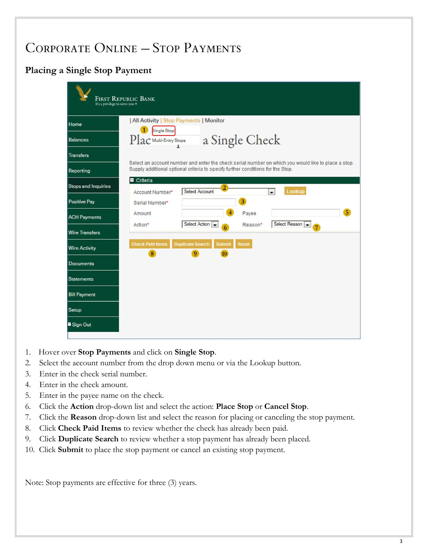### **Placing a Single Stop Payment**



- 1. Hover over **Stop Payments** and click on **Single Stop**.
- 2. Select the account number from the drop down menu or via the Lookup button.
- 3. Enter in the check serial number.
- 4. Enter in the check amount.
- 5. Enter in the payee name on the check.
- 6. Click the **Action** drop-down list and select the action: **Place Stop** or **Cancel Stop**.
- 7. Click the **Reason** drop-down list and select the reason for placing or canceling the stop payment.
- 8. Click **Check Paid Items** to review whether the check has already been paid.
- 9. Click **Duplicate Search** to review whether a stop payment has already been placed.
- 10. Click **Submit** to place the stop payment or cancel an existing stop payment.

Note: Stop payments are effective for three (3) years.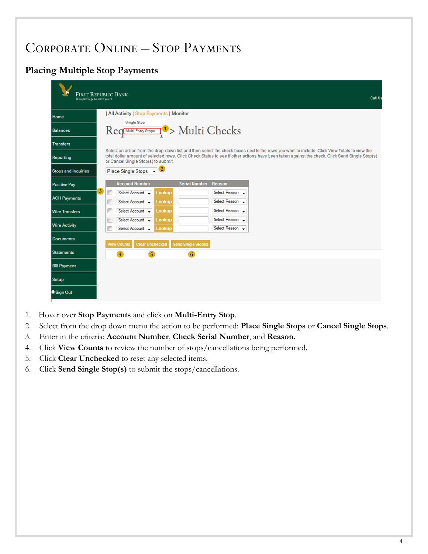### **Placing Multiple Stop Payments**

| <b>FIRST REPUBLIC BANK</b><br>It's a privilege to serve you ® |         |                                                                  |                  |                            |                                    |                                                                                                                                                                                                                                                                                               | Call Us |
|---------------------------------------------------------------|---------|------------------------------------------------------------------|------------------|----------------------------|------------------------------------|-----------------------------------------------------------------------------------------------------------------------------------------------------------------------------------------------------------------------------------------------------------------------------------------------|---------|
| Home                                                          |         | All Activity   Stop Payments   Monitor                           |                  |                            |                                    |                                                                                                                                                                                                                                                                                               |         |
| <b>Balances</b>                                               |         | Single Stop<br>Req <del>Multi-Entry Stope 1</del> > Multi Checks |                  |                            |                                    |                                                                                                                                                                                                                                                                                               |         |
| <b>Transfers</b>                                              |         |                                                                  |                  |                            |                                    |                                                                                                                                                                                                                                                                                               |         |
| Reporting                                                     |         | or Cancel Single Stop(s) to submit.                              |                  |                            |                                    | Select an action from the drop-down list and then select the check boxes next to the rows you want to include. Click View Totals to view the<br>total dollar amount of selected rows. Click Check Status to see if other actions have been taken against the check. Click Send Single Stop(s) |         |
| <b>Stops and Inquiries</b>                                    |         | Place Single Stops v 2                                           |                  |                            |                                    |                                                                                                                                                                                                                                                                                               |         |
| <b>Positive Pay</b>                                           |         | <b>Account Number</b>                                            |                  | <b>Serial Number</b>       | <b>Reason</b>                      |                                                                                                                                                                                                                                                                                               |         |
| <b>ACH Payments</b>                                           | 3)<br>m | Select Account -                                                 | Lookup           |                            | Select Reason -                    |                                                                                                                                                                                                                                                                                               |         |
| <b>Wire Transfers</b>                                         | E<br>G  | Select Account -<br>Select Account -                             | Lookup<br>Lookup |                            | Select Reason -<br>Select Reason - |                                                                                                                                                                                                                                                                                               |         |
| <b>Wire Activity</b>                                          | 匣       | Select Account -                                                 | Lookup           |                            | Select Reason -<br>Select Reason v |                                                                                                                                                                                                                                                                                               |         |
| <b>Documents</b>                                              | F       | Select Account -<br><b>Clear Unchecked</b><br><b>View Counts</b> | Lookup           | <b>Send Single Stop(s)</b> |                                    |                                                                                                                                                                                                                                                                                               |         |
| <b>Statements</b>                                             |         | $\overline{5}$<br>$\overline{4}$                                 |                  | 6                          |                                    |                                                                                                                                                                                                                                                                                               |         |
| <b>Bill Payment</b>                                           |         |                                                                  |                  |                            |                                    |                                                                                                                                                                                                                                                                                               |         |
| Setup                                                         |         |                                                                  |                  |                            |                                    |                                                                                                                                                                                                                                                                                               |         |
| <b>a</b> Sign Out                                             |         |                                                                  |                  |                            |                                    |                                                                                                                                                                                                                                                                                               |         |

- 1. Hover over **Stop Payments** and click on **Multi-Entry Stop**.
- 2. Select from the drop down menu the action to be performed: **Place Single Stops** or **Cancel Single Stops**.
- 3. Enter in the criteria: **Account Number**, **Check Serial Number**, and **Reason**.
- 4. Click **View Counts** to review the number of stops/cancellations being performed.
- 5. Click **Clear Unchecked** to reset any selected items.
- 6. Click **Send Single Stop(s)** to submit the stops/cancellations.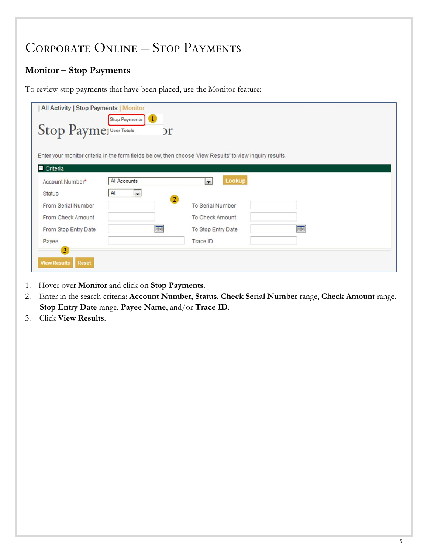### **Monitor – Stop Payments**

To review stop payments that have been placed, use the Monitor feature:

| All Activity   Stop Payments   Monitor<br>Stop Paymer Totals | Stop Payments   1<br>$\mathcal{L}$ |                                                                                                           |   |
|--------------------------------------------------------------|------------------------------------|-----------------------------------------------------------------------------------------------------------|---|
|                                                              |                                    | Enter your monitor criteria in the form fields below, then choose "View Results' to view inquiry results. |   |
| Criteria<br>Account Number*                                  | All Accounts                       | Lookup<br>$\blacksquare$                                                                                  |   |
| <b>Status</b>                                                | All<br>$\overline{\phantom{a}}$    |                                                                                                           |   |
| <b>From Serial Number</b>                                    | $\overline{2}$                     | <b>To Serial Number</b>                                                                                   |   |
| From Check Amount                                            |                                    | <b>To Check Amount</b>                                                                                    |   |
| From Stop Entry Date                                         | E                                  | To Stop Entry Date                                                                                        | E |
| Payee                                                        |                                    | <b>Trace ID</b>                                                                                           |   |
| $3\overline{)}$                                              |                                    |                                                                                                           |   |
| <b>View Results</b><br><b>Reset</b>                          |                                    |                                                                                                           |   |

- 1. Hover over **Monitor** and click on **Stop Payments**.
- 2. Enter in the search criteria: **Account Number**, **Status**, **Check Serial Number** range, **Check Amount** range, **Stop Entry Date** range, **Payee Name**, and/or **Trace ID**.
- 3. Click **View Results**.